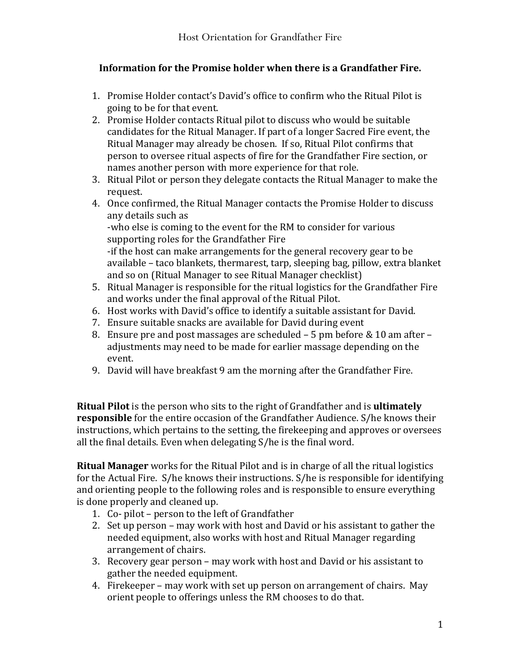## Information for the Promise holder when there is a Grandfather Fire.

- 1. Promise Holder contact's David's office to confirm who the Ritual Pilot is going to be for that event.
- 2. Promise Holder contacts Ritual pilot to discuss who would be suitable candidates for the Ritual Manager. If part of a longer Sacred Fire event, the Ritual Manager may already be chosen. If so, Ritual Pilot confirms that person to oversee ritual aspects of fire for the Grandfather Fire section, or names another person with more experience for that role.
- 3. Ritual Pilot or person they delegate contacts the Ritual Manager to make the request.
- 4. Once confirmed, the Ritual Manager contacts the Promise Holder to discuss any details such as

-who else is coming to the event for the RM to consider for various supporting roles for the Grandfather Fire

-if the host can make arrangements for the general recovery gear to be available – taco blankets, thermarest, tarp, sleeping bag, pillow, extra blanket and so on (Ritual Manager to see Ritual Manager checklist)

- 5. Ritual Manager is responsible for the ritual logistics for the Grandfather Fire and works under the final approval of the Ritual Pilot.
- 6. Host works with David's office to identify a suitable assistant for David.
- 7. Ensure suitable snacks are available for David during event
- 8. Ensure pre and post massages are scheduled  $-5$  pm before & 10 am after  $$ adjustments may need to be made for earlier massage depending on the event.
- 9. David will have breakfast 9 am the morning after the Grandfather Fire.

**Ritual Pilot** is the person who sits to the right of Grandfather and is **ultimately responsible** for the entire occasion of the Grandfather Audience. S/he knows their instructions, which pertains to the setting, the firekeeping and approves or oversees all the final details. Even when delegating  $S/he$  is the final word.

**Ritual Manager** works for the Ritual Pilot and is in charge of all the ritual logistics for the Actual Fire. S/he knows their instructions. S/he is responsible for identifying and orienting people to the following roles and is responsible to ensure everything is done properly and cleaned up.

- 1. Co- pilot person to the left of Grandfather
- 2. Set up person may work with host and David or his assistant to gather the needed equipment, also works with host and Ritual Manager regarding arrangement of chairs.
- 3. Recovery gear person may work with host and David or his assistant to gather the needed equipment.
- 4. Firekeeper may work with set up person on arrangement of chairs. May orient people to offerings unless the RM chooses to do that.